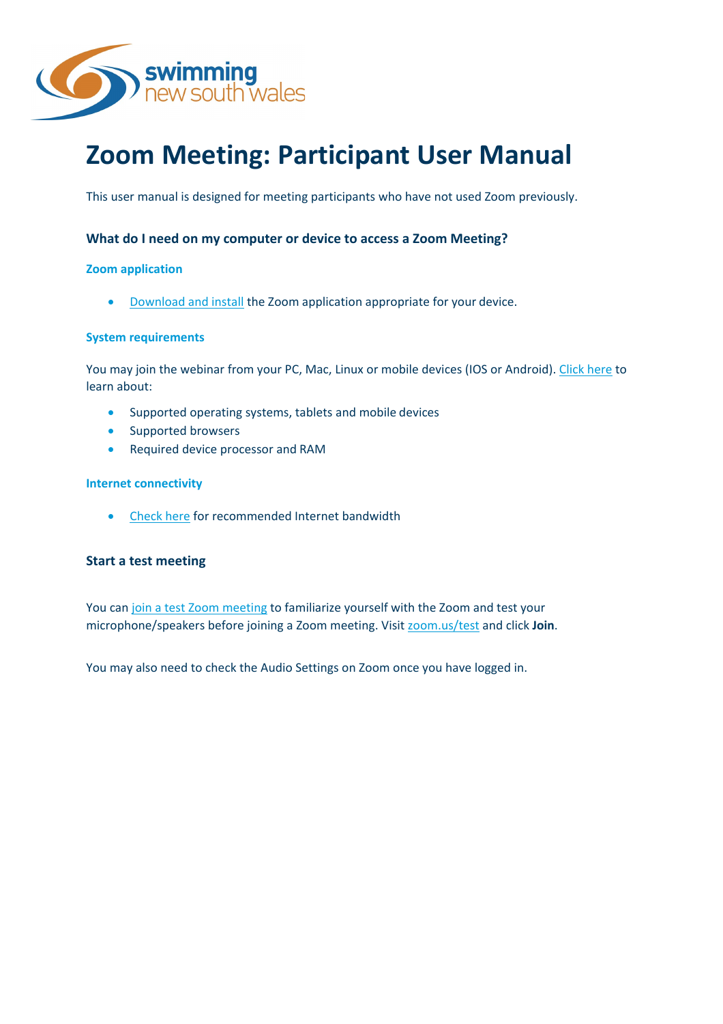

# **Zoom Meeting: Participant User Manual**

This user manual is designed for meeting participants who have not used Zoom previously.

# **What do I need on my computer or device to access a Zoom Meeting?**

# **Zoom application**

• [Download and install](https://zoom.us/download) the Zoom application appropriate for your device.

## **System requirements**

You may join the webinar from your PC, Mac, Linux or mobile devices (IOS or Android)[. Click here](https://support.zoom.us/hc/en-us/articles/201362023-System-Requirements-for-PC-Mac-and-Linux) to learn about:

- Supported operating systems, tablets and mobile devices
- Supported browsers
- Required device processor and RAM

## **Internet connectivity**

• [Check here](https://support.zoom.us/hc/en-us/articles/201362023-System-Requirements-for-PC-Mac-and-Linux) for recommended Internet bandwidth

# **Start a test meeting**

You can [join a test Zoom meeting](https://support.zoom.us/hc/en-us/articles/115002262083) to familiarize yourself with the Zoom and test your microphone/speakers before joining a Zoom meeting. Visit [zoom.us/test](https://zoom.us/test) and click **Join**.

You may also need to check the Audio Settings on Zoom once you have logged in.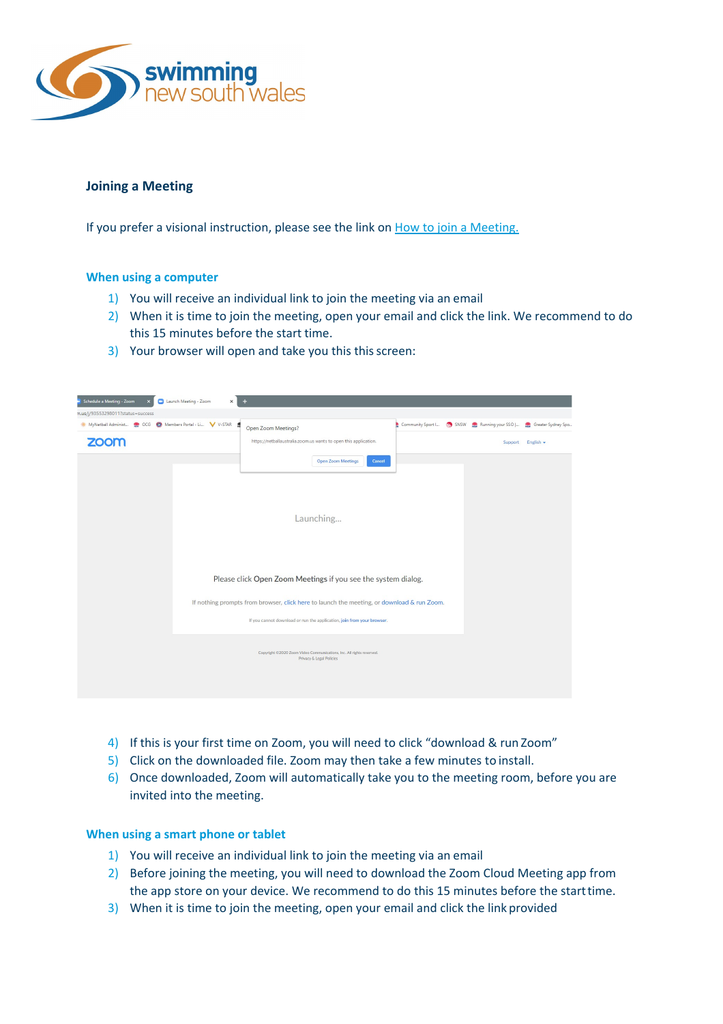

# **Joining a Meeting**

If you prefer a visional instruction, please see the link on [How to join a Meeting.](https://www.youtube.com/embed/hIkCmbvAHQQ?rel=0&autoplay=1&cc_load_policy=1)

# **When using a computer**

- 1) You will receive an individual link to join the meeting via an email
- 2) When it is time to join the meeting, open your email and click the link. We recommend to do this 15 minutes before the start time.
- 3) Your browser will open and take you this this screen:

| Schedule a Meeting - Zoom                                        | Launch Meeting - Zoom<br>$\times$ | ÷                                                                                                |  |                                                                       |                   |
|------------------------------------------------------------------|-----------------------------------|--------------------------------------------------------------------------------------------------|--|-----------------------------------------------------------------------|-------------------|
| n.us/j/93553298011?status=success                                |                                   |                                                                                                  |  |                                                                       |                   |
| MyNetball Administ <b>@</b> OCG @ Members Portal - Li V V-STAR & |                                   | Open Zoom Meetings?                                                                              |  | Community Sport I (7) SNSW (Running your SSO   (8) Greater Sydney Spo |                   |
| <b>ZOOM</b>                                                      |                                   | https://netballaustralia.zoom.us wants to open this application.                                 |  |                                                                       | Support English - |
|                                                                  |                                   | <b>Open Zoom Meetings</b><br>Cancel                                                              |  |                                                                       |                   |
|                                                                  |                                   |                                                                                                  |  |                                                                       |                   |
|                                                                  |                                   |                                                                                                  |  |                                                                       |                   |
|                                                                  |                                   | Launching                                                                                        |  |                                                                       |                   |
|                                                                  |                                   |                                                                                                  |  |                                                                       |                   |
|                                                                  |                                   |                                                                                                  |  |                                                                       |                   |
|                                                                  |                                   | Please click Open Zoom Meetings if you see the system dialog.                                    |  |                                                                       |                   |
|                                                                  |                                   | If nothing prompts from browser, click here to launch the meeting, or download & run Zoom.       |  |                                                                       |                   |
|                                                                  |                                   | If you cannot download or run the application, join from your browser.                           |  |                                                                       |                   |
|                                                                  |                                   | Copyright @2020 Zoom Video Communications, Inc. All rights reserved.<br>Privacy & Legal Policies |  |                                                                       |                   |
|                                                                  |                                   |                                                                                                  |  |                                                                       |                   |

- 4) If this is your first time on Zoom, you will need to click "download & run Zoom"
- 5) Click on the downloaded file. Zoom may then take a few minutes to install.
- 6) Once downloaded, Zoom will automatically take you to the meeting room, before you are invited into the meeting.

# **When using a smart phone or tablet**

- 1) You will receive an individual link to join the meeting via an email
- 2) Before joining the meeting, you will need to download the Zoom Cloud Meeting app from the app store on your device. We recommend to do this 15 minutes before the starttime.
- 3) When it is time to join the meeting, open your email and click the link provided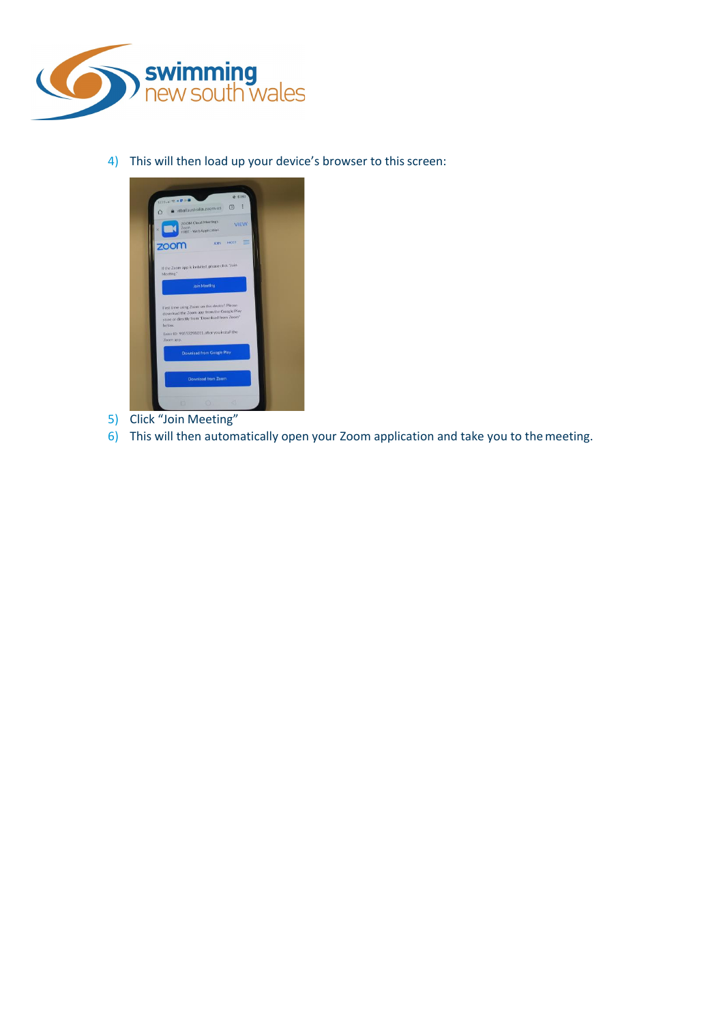

4) This will then load up your device's browser to this screen:



- 5) Click "Join Meeting"
- 6) This will then automatically open your Zoom application and take you to themeeting.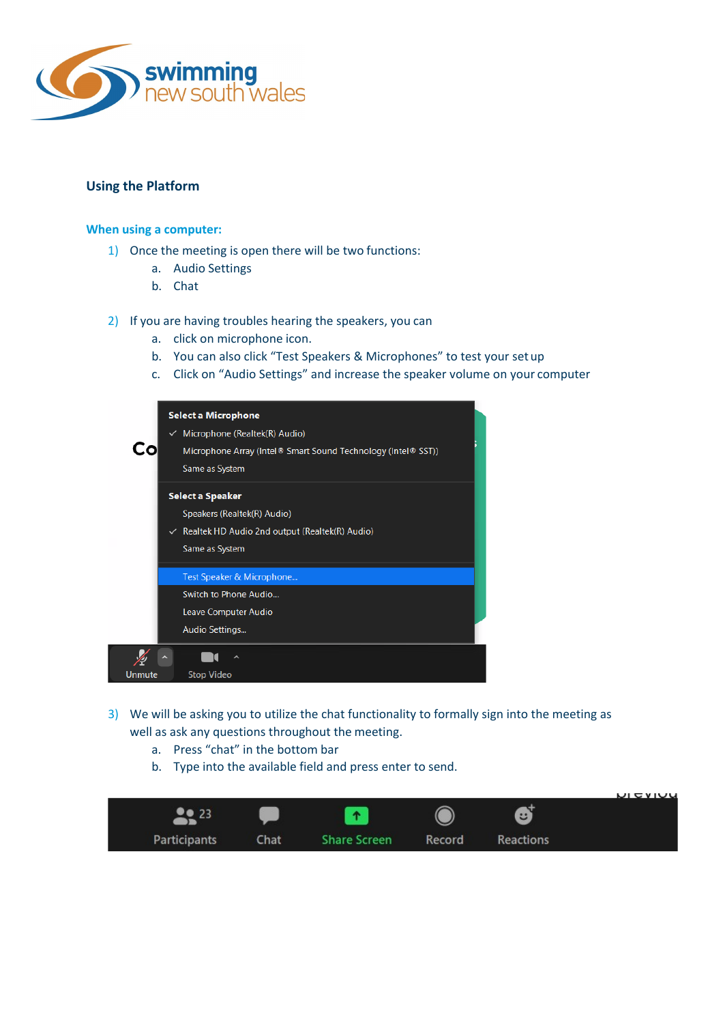

# **Using the Platform**

## **When using a computer:**

- 1) Once the meeting is open there will be two functions:
	- a. Audio Settings
	- b. Chat
- 2) If you are having troubles hearing the speakers, you can
	- a. click on microphone icon.
	- b. You can also click "Test Speakers & Microphones" to test your set up
	- c. Click on "Audio Settings" and increase the speaker volume on your computer

|        | Select a Microphone<br>Microphone (Realtek(R) Audio)<br>✓<br>Microphone Array (Intel® Smart Sound Technology (Intel® SST))<br>Same as System |
|--------|----------------------------------------------------------------------------------------------------------------------------------------------|
|        | Select a Speaker                                                                                                                             |
|        | Speakers (Realtek(R) Audio)                                                                                                                  |
|        | Realtek HD Audio 2nd output (Realtek(R) Audio)<br>$\checkmark$                                                                               |
|        | Same as System                                                                                                                               |
|        | Test Speaker & Microphone                                                                                                                    |
|        | Switch to Phone Audio                                                                                                                        |
|        | Leave Computer Audio                                                                                                                         |
|        | Audio Settings                                                                                                                               |
|        |                                                                                                                                              |
| Unmute | <b>Stop Video</b>                                                                                                                            |

- 3) We will be asking you to utilize the chat functionality to formally sign into the meeting as well as ask any questions throughout the meeting.
	- a. Press "chat" in the bottom bar
	- b. Type into the available field and press enter to send.

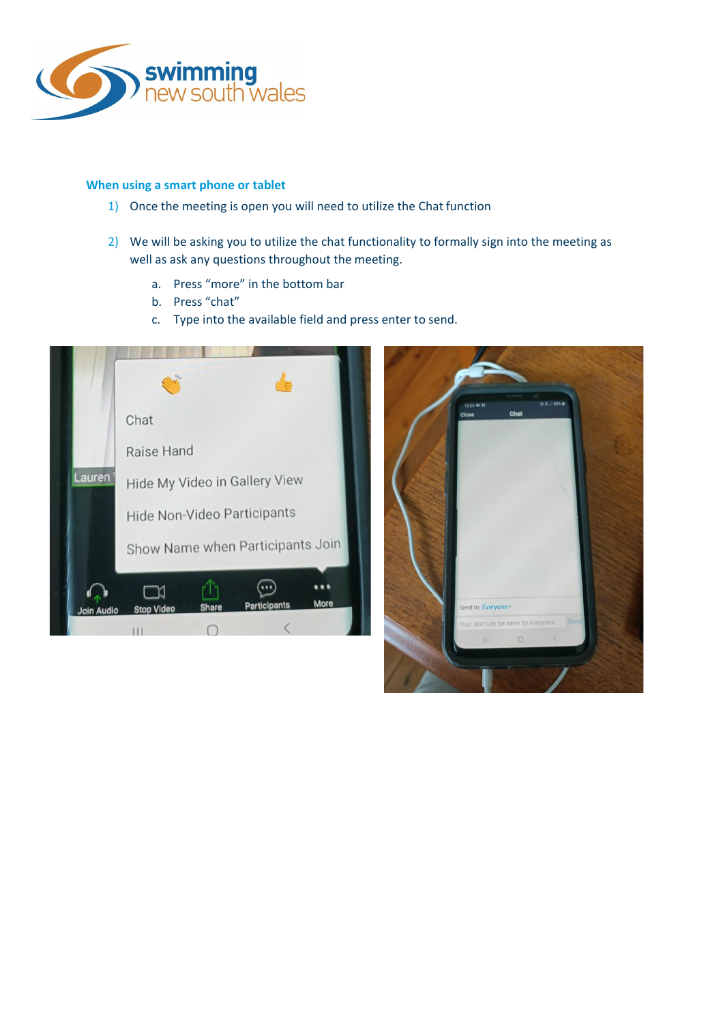

## **When using a smart phone or tablet**

- 1) Once the meeting is open you will need to utilize the Chat function
- 2) We will be asking you to utilize the chat functionality to formally sign into the meeting as well as ask any questions throughout the meeting.
	- a. Press "more" in the bottom bar
	- b. Press "chat"
	- c. Type into the available field and press enter to send.